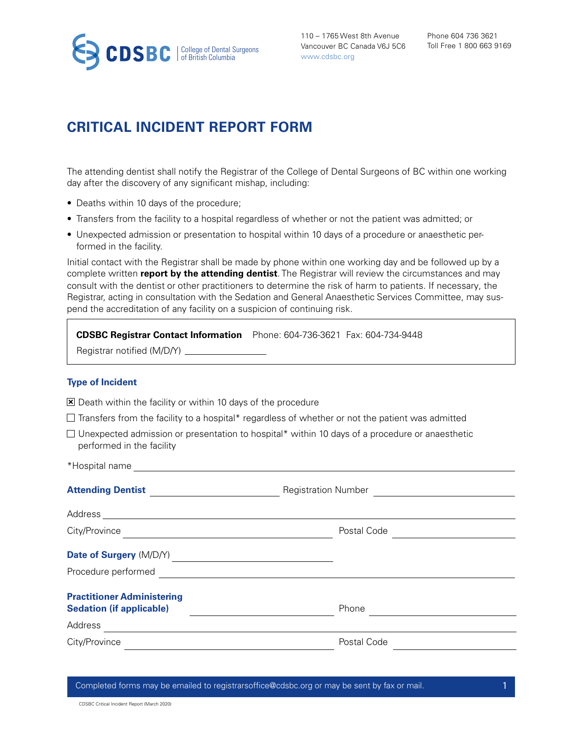

110 – 1765 West 8th Avenue Vancouver BC Canada V6J 5C6 www.cdsbc.org

## **CRITICAL INCIDENT REPORT FORM**

The attending dentist shall notify the Registrar of the College of Dental Surgeons of BC within one working day after the discovery of any significant mishap, including:

- Deaths within 10 days of the procedure;
- Transfers from the facility to a hospital regardless of whether or not the patient was admitted; or
- Unexpected admission or presentation to hospital within 10 days of a procedure or anaesthetic performed in the facility.

Initial contact with the Registrar shall be made by phone within one working day and be followed up by a complete written **report by the attending dentist**. The Registrar will review the circumstances and may consult with the dentist or other practitioners to determine the risk of harm to patients. If necessary, the Registrar, acting in consultation with the Sedation and General Anaesthetic Services Committee, may suspend the accreditation of any facility on a suspicion of continuing risk.

|                      | CDSBC Registrar Contact Information Phone: 604-736-3621 Fax: 604-734-9448 |  |
|----------------------|---------------------------------------------------------------------------|--|
| $\sim$ $\sim$ $\sim$ |                                                                           |  |

Registrar notified (M/D/Y)

## **Type of Incident**

\*Hospital name

 $\Sigma$  Death within the facility or within 10 days of the procedure

- $\Box$  Transfers from the facility to a hospital\* regardless of whether or not the patient was admitted
- $\Box$  Unexpected admission or presentation to hospital\* within 10 days of a procedure or anaesthetic performed in the facility

| $\overline{1}$ rospital fiarries and $\overline{1}$ rospital fiarries and $\overline{2}$ rospital fiarries and $\overline{2}$ roughly resolved as $\overline{2}$ roughly resolved as $\overline{2}$ roughly resolved as $\overline{2}$ roughly resolved as $\overline{2}$ rou |                                     |  |
|-------------------------------------------------------------------------------------------------------------------------------------------------------------------------------------------------------------------------------------------------------------------------------|-------------------------------------|--|
| Attending Dentist                                                                                                                                                                                                                                                             | Registration Number <u>________</u> |  |
|                                                                                                                                                                                                                                                                               |                                     |  |
| City/Province<br><u> 1989 - Johann Stein, mars an t-Amerikaansk ferskeizh (</u>                                                                                                                                                                                               | Postal Code                         |  |
| Date of Surgery (M/D/Y)<br><u>Late of Surgery (M/D/Y)</u>                                                                                                                                                                                                                     |                                     |  |
|                                                                                                                                                                                                                                                                               |                                     |  |
| <b>Practitioner Administering</b><br><b>Sedation (if applicable)</b>                                                                                                                                                                                                          | Phone                               |  |
| Address<br><u> Alexandria de la contrada de la contrada de la contrada de la contrada de la contrada de la contrada de la c</u>                                                                                                                                               |                                     |  |
| City/Province                                                                                                                                                                                                                                                                 | Postal Code                         |  |
|                                                                                                                                                                                                                                                                               |                                     |  |

Completed forms may be emailed to registrarsoffice@cdsbc.org or may be sent by fax or mail.